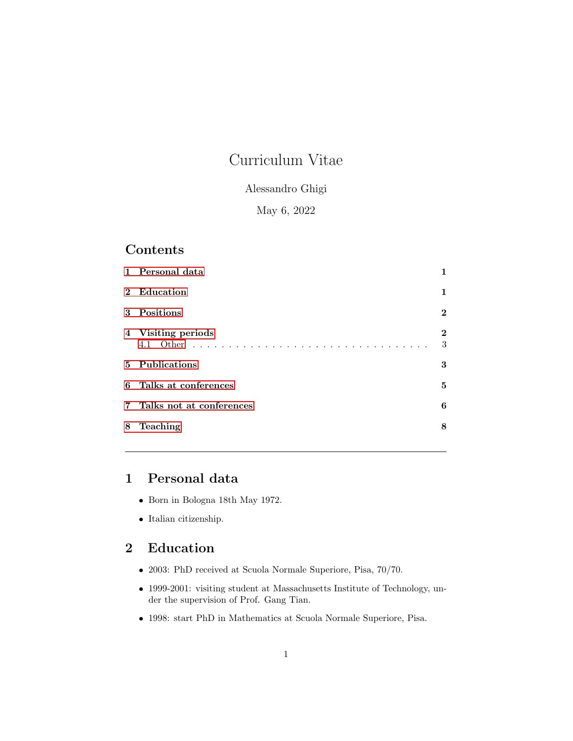# Curriculum Vitae

### Alessandro Ghigi

## May 6, 2022

## Contents

|   | 1 Personal data            | 1              |
|---|----------------------------|----------------|
|   | 2 Education                | $\mathbf 1$    |
|   | 3 Positions                | $\overline{2}$ |
|   | 4 Visiting periods         | $\bf{2}$<br>3  |
|   | 5 Publications             | 3              |
|   | 6 Talks at conferences     | 5              |
|   | 7 Talks not at conferences | 6              |
| 8 | Teaching                   | 8              |
|   |                            |                |

## <span id="page-0-0"></span>1 Personal data

- Born in Bologna 18th May 1972.
- Italian citizenship.

## <span id="page-0-1"></span>2 Education

- 2003: PhD received at Scuola Normale Superiore, Pisa, 70/70.
- 1999-2001: visiting student at Massachusetts Institute of Technology, under the supervision of Prof. Gang Tian.
- 1998: start PhD in Mathematics at Scuola Normale Superiore, Pisa.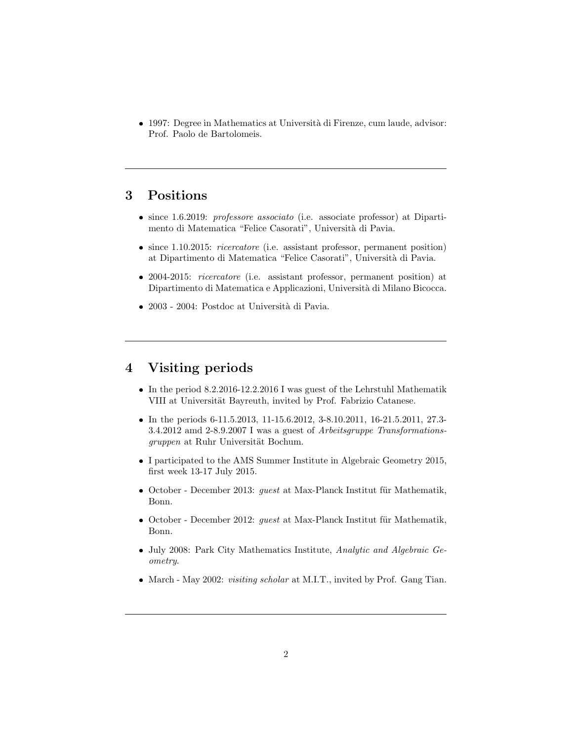• 1997: Degree in Mathematics at Università di Firenze, cum laude, advisor: Prof. Paolo de Bartolomeis.

## <span id="page-1-0"></span>3 Positions

- since 1.6.2019: professore associato (i.e. associate professor) at Dipartimento di Matematica "Felice Casorati", Università di Pavia.
- since 1.10.2015: *ricercatore* (i.e. assistant professor, permanent position) at Dipartimento di Matematica "Felice Casorati", Università di Pavia.
- 2004-2015: *ricercatore* (i.e. assistant professor, permanent position) at Dipartimento di Matematica e Applicazioni, Università di Milano Bicocca.
- $\bullet$  2003 2004: Postdoc at Università di Pavia.

## <span id="page-1-1"></span>4 Visiting periods

- In the period 8.2.2016-12.2.2016 I was guest of the Lehrstuhl Mathematik VIII at Universität Bayreuth, invited by Prof. Fabrizio Catanese.
- In the periods 6-11.5.2013, 11-15.6.2012, 3-8.10.2011, 16-21.5.2011, 27.3- 3.4.2012 amd 2-8.9.2007 I was a guest of Arbeitsgruppe Transformationsgruppen at Ruhr Universität Bochum.
- I participated to the AMS Summer Institute in Algebraic Geometry 2015, first week 13-17 July 2015.
- October December 2013: *guest* at Max-Planck Institut für Mathematik, Bonn.
- October December 2012: *guest* at Max-Planck Institut für Mathematik, Bonn.
- July 2008: Park City Mathematics Institute, Analytic and Algebraic Geometry.
- March May 2002: *visiting scholar* at M.I.T., invited by Prof. Gang Tian.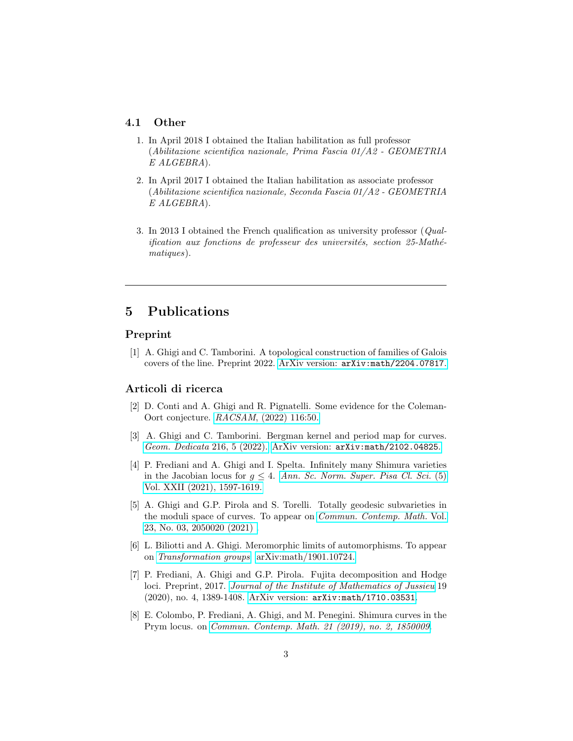#### <span id="page-2-0"></span>4.1 Other

- 1. In April 2018 I obtained the Italian habilitation as full professor (Abilitazione scientifica nazionale, Prima Fascia 01/A2 - GEOMETRIA E ALGEBRA).
- 2. In April 2017 I obtained the Italian habilitation as associate professor (Abilitazione scientifica nazionale, Seconda Fascia 01/A2 - GEOMETRIA E ALGEBRA).
- 3. In 2013 I obtained the French qualification as university professor (Qual $i$ fication aux fonctions de professeur des universités, section 25-Mathématiques).

## <span id="page-2-1"></span>5 Publications

#### Preprint

[1] A. Ghigi and C. Tamborini. A topological construction of families of Galois covers of the line. Preprint 2022. ArXiv version: [arXiv:math/2204.07817](https://arxiv.org/abs/2204.07817).

#### Articoli di ricerca

- [2] D. Conti and A. Ghigi and R. Pignatelli. Some evidence for the Coleman-Oort conjecture. RACSAM[, \(2022\) 116:50.](https://doi.org/10.1007/s13398-021-01195-0)
- [3] A. Ghigi and C. Tamborini. Bergman kernel and period map for curves. [Geom. Dedicata](https://doi.org/10.1007/s10711-021-00670-7) 216, 5 (2022). ArXiv version: [arXiv:math/2102.04825](https://arxiv.org/abs/2102.04825).
- [4] P. Frediani and A. Ghigi and I. Spelta. Infinitely many Shimura varieties in the Jacobian locus for  $q \leq 4$ . [Ann. Sc. Norm. Super. Pisa Cl. Sci.](https://doi.org/10.2422/2036-2145.201910_009) (5) [Vol. XXII \(2021\), 1597-1619.](https://doi.org/10.2422/2036-2145.201910_009)
- [5] A. Ghigi and G.P. Pirola and S. Torelli. Totally geodesic subvarieties in the moduli space of curves. To appear on [Commun. Contemp. Math.](https://doi.org/10.1142/S0219199720500200) Vol. [23, No. 03, 2050020 \(2021\) .](https://doi.org/10.1142/S0219199720500200)
- [6] L. Biliotti and A. Ghigi. Meromorphic limits of automorphisms. To appear on [Transformation groups](https://doi.org/10.1007/s00031-020-09551-x). [arXiv:math/1901.10724.](https://arxiv.org/abs/1901.10724)
- [7] P. Frediani, A. Ghigi and G.P. Pirola. Fujita decomposition and Hodge loci. Preprint, 2017. [Journal of the Institute of Mathematics of Jussieu](https://doi.org/10.1017/S1474748018000452) 19 (2020), no. 4, 1389-1408. ArXiv version: [arXiv:math/1710.03531](http://arxiv.org/abs/1710.03531).
- [8] E. Colombo, P. Frediani, A. Ghigi, and M. Penegini. Shimura curves in the Prym locus. on [Commun. Contemp. Math. 21 \(2019\), no. 2, 1850009](https://doi.org/10.1142/S0219199718500098).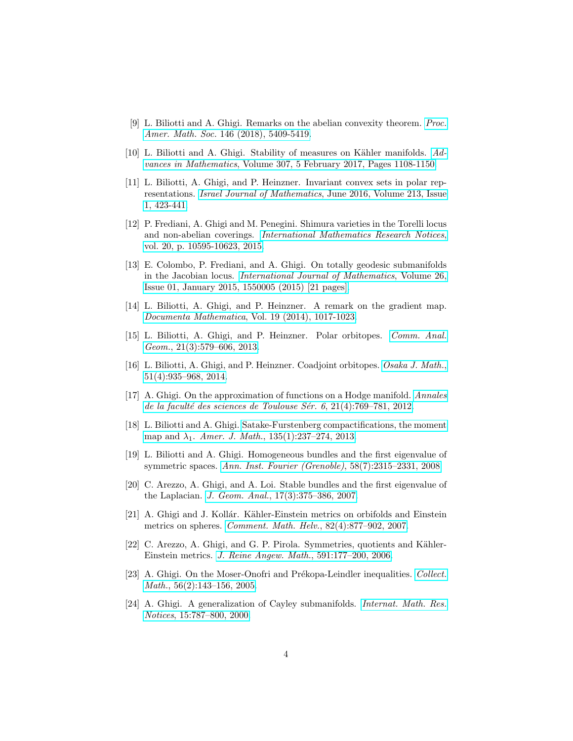- [9] L. Biliotti and A. Ghigi. Remarks on the abelian convexity theorem. [Proc.](https://doi.org/10.1090/proc/14188) Amer. Math. Soc. [146 \(2018\), 5409-5419.](https://doi.org/10.1090/proc/14188)
- [10] L. Biliotti and A. Ghigi. Stability of measures on Kähler manifolds. [Ad](http://www.sciencedirect.com/science/article/pii/S0001870816301918)vances in Mathematics[, Volume 307, 5 February 2017, Pages 1108-1150.](http://www.sciencedirect.com/science/article/pii/S0001870816301918)
- [11] L. Biliotti, A. Ghigi, and P. Heinzner. Invariant convex sets in polar representations. Israel Journal of Mathematics[, June 2016, Volume 213, Issue](http://link.springer.com/article/10.1007/s11856-016-1325-6) [1, 423-441.](http://link.springer.com/article/10.1007/s11856-016-1325-6)
- [12] P. Frediani, A. Ghigi and M. Penegini. Shimura varieties in the Torelli locus and non-abelian coverings. [International Mathematics Research Notices](https://doi.org/10.1093/imrn/rnu272), [vol. 20, p. 10595-10623, 2015.](https://doi.org/10.1093/imrn/rnu272)
- [13] E. Colombo, P. Frediani, and A. Ghigi. On totally geodesic submanifolds in the Jacobian locus. [International Journal of Mathematics](http://dx.doi.org/10.1142/S0129167X15500056), Volume 26, [Issue 01, January 2015, 1550005 \(2015\) \[21 pages\].](http://dx.doi.org/10.1142/S0129167X15500056)
- [14] L. Biliotti, A. Ghigi, and P. Heinzner. A remark on the gradient map. Documenta Mathematica[, Vol. 19 \(2014\), 1017-1023.](http://www.mathematik.uni-bielefeld.de/documenta/vol-19/34.html)
- [15] L. Biliotti, A. Ghigi, and P. Heinzner. Polar orbitopes. [Comm. Anal.](http://intlpress.com/site/pub/pages/journals/items/cag/content/vols/0021/0003/a005/index.html) Geom.[, 21\(3\):579–606, 2013.](http://intlpress.com/site/pub/pages/journals/items/cag/content/vols/0021/0003/a005/index.html)
- [16] L. Biliotti, A. Ghigi, and P. Heinzner. Coadjoint orbitopes. [Osaka J. Math.](http://projecteuclid.org/euclid.ojm/1414761906), [51\(4\):935–968, 2014.](http://projecteuclid.org/euclid.ojm/1414761906)
- [17] A. Ghigi. On the approximation of functions on a Hodge manifold. [Annales](http://afst.cedram.org/afst-bin/recherche?h=aur&aur=Ghigi,+Alessandro&format=short) de la faculté des sciences de Toulouse Sér. 6, 21(4):769–781, 2012.
- [18] L. Biliotti and A. Ghigi. [Satake-Furstenberg compactifications, the moment](https://doi.org/10.1353/ajm.2013.0006) map and  $\lambda_1$ . Amer. J. Math.[, 135\(1\):237–274, 2013.](https://doi.org/10.1353/ajm.2013.0006)
- [19] L. Biliotti and A. Ghigi. Homogeneous bundles and the first eigenvalue of symmetric spaces. [Ann. Inst. Fourier \(Grenoble\)](http://dx.doi.org/10.5802/aif.2415), 58(7):2315–2331, 2008.
- [20] C. Arezzo, A. Ghigi, and A. Loi. Stable bundles and the first eigenvalue of the Laplacian. J. Geom. Anal.[, 17\(3\):375–386, 2007.](http://www.springerlink.com/content/06023324904560x9)
- [21] A. Ghigi and J. Kollár. Kähler-Einstein metrics on orbifolds and Einstein metrics on spheres. [Comment. Math. Helv.](http://www.ems-ph.org/journals/show_abstract.php?issn=0010-2571&vol=82&iss=4&rank=7), 82(4):877–902, 2007.
- [22] C. Arezzo, A. Ghigi, and G. P. Pirola. Symmetries, quotients and Kähler-Einstein metrics. [J. Reine Angew. Math.](https://doi.org/10.1515/CRELLE.2006.018), 591:177–200, 2006.
- [23] A. Ghigi. On the Moser-Onofri and Prékopa-Leindler inequalities. [Collect.](http://www.raco.cat/index.php/CollectaneaMathematica/article/viewFile/56592/67902) Math.[, 56\(2\):143–156, 2005.](http://www.raco.cat/index.php/CollectaneaMathematica/article/viewFile/56592/67902)
- [24] A. Ghigi. A generalization of Cayley submanifolds. [Internat. Math. Res.](https://doi.org/10.1155/S107379280000043X) Notices[, 15:787–800, 2000.](https://doi.org/10.1155/S107379280000043X)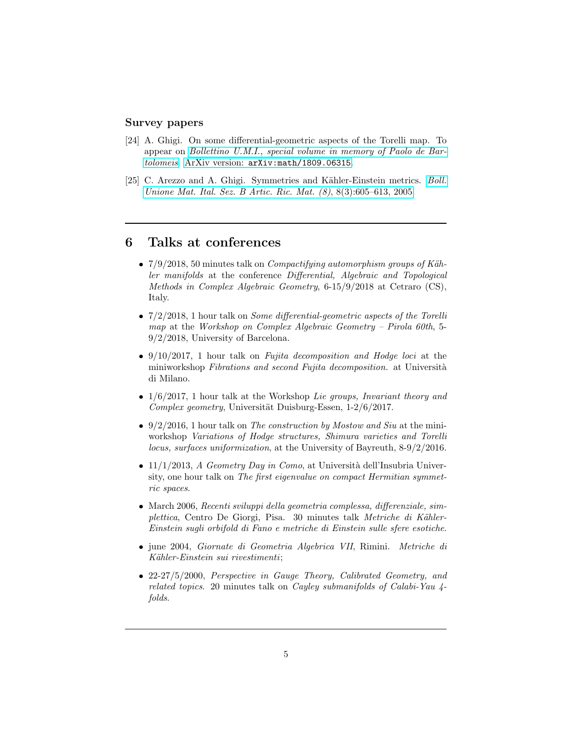#### Survey papers

- [24] A. Ghigi. On some differential-geometric aspects of the Torelli map. To appear on [Bollettino U.M.I., special volume in memory of Paolo de Bar](https://link.springer.com/article/10.1007/s40574-018-0171-3)[tolomeis](https://link.springer.com/article/10.1007/s40574-018-0171-3). ArXiv version: [arXiv:math/1809.06315](http://arxiv.org/abs/1809.06315).
- [25] C. Arezzo and A. Ghigi. Symmetries and Kähler-Einstein metrics. *[Boll.](https://eudml.org/doc/194882)* [Unione Mat. Ital. Sez. B Artic. Ric. Mat. \(8\)](https://eudml.org/doc/194882), 8(3):605–613, 2005.

### <span id="page-4-0"></span>6 Talks at conferences

- $7/9/2018$ , 50 minutes talk on *Compactifying automorphism groups of Käh*ler manifolds at the conference Differential, Algebraic and Topological Methods in Complex Algebraic Geometry, 6-15/9/2018 at Cetraro (CS), Italy.
- $\bullet$  7/2/2018, 1 hour talk on *Some differential-geometric aspects of the Torelli* map at the Workshop on Complex Algebraic Geometry – Pirola 60th, 5-9/2/2018, University of Barcelona.
- $\bullet$  9/10/2017, 1 hour talk on *Fujita decomposition and Hodge loci* at the miniworkshop Fibrations and second Fujita decomposition. at Università di Milano.
- $\bullet$  1/6/2017, 1 hour talk at the Workshop Lie groups, Invariant theory and Complex geometry, Universität Duisburg-Essen,  $1-2/6/2017$ .
- $\bullet$  9/2/2016, 1 hour talk on *The construction by Mostow and Siu* at the miniworkshop Variations of Hodge structures, Shimura varieties and Torelli locus, surfaces uniformization, at the University of Bayreuth, 8-9/2/2016.
- $\bullet$  11/1/2013, A Geometry Day in Como, at Università dell'Insubria University, one hour talk on The first eigenvalue on compact Hermitian symmetric spaces.
- March 2006, Recenti sviluppi della geometria complessa, differenziale, simplettica, Centro De Giorgi, Pisa. 30 minutes talk Metriche di Kähler-Einstein sugli orbifold di Fano e metriche di Einstein sulle sfere esotiche.
- june 2004, Giornate di Geometria Algebrica VII, Rimini. Metriche di Kähler-Einstein sui rivestimenti;
- 22-27/5/2000, Perspective in Gauge Theory, Calibrated Geometry, and related topics. 20 minutes talk on Cayley submanifolds of Calabi-Yau 4 folds.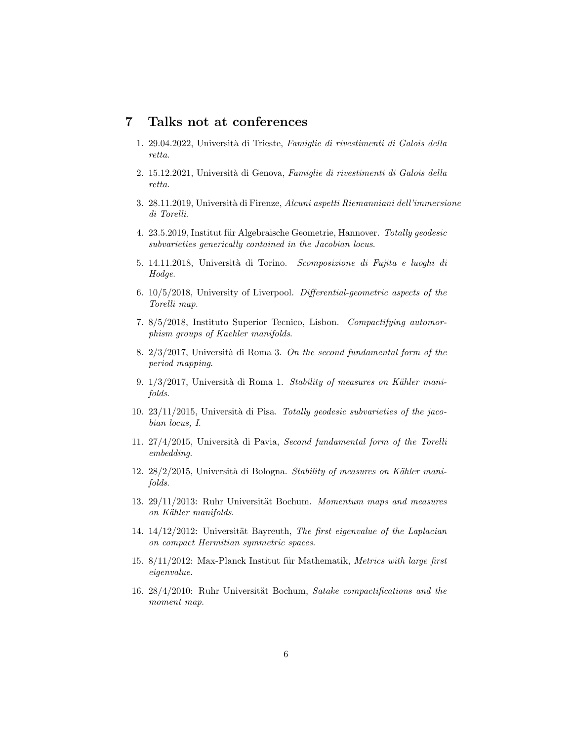### <span id="page-5-0"></span>7 Talks not at conferences

- 1. 29.04.2022, Università di Trieste, Famiglie di rivestimenti di Galois della retta.
- 2. 15.12.2021, Università di Genova, Famiglie di rivestimenti di Galois della retta.
- 3. 28.11.2019, Università di Firenze, Alcuni aspetti Riemanniani dell'immersione di Torelli.
- 4. 23.5.2019, Institut für Algebraische Geometrie, Hannover. Totally geodesic subvarieties generically contained in the Jacobian locus.
- 5. 14.11.2018, Università di Torino. Scomposizione di Fujita e luoghi di Hodge.
- 6. 10/5/2018, University of Liverpool. Differential-geometric aspects of the Torelli map.
- 7. 8/5/2018, Instituto Superior Tecnico, Lisbon. Compactifying automorphism groups of Kaehler manifolds.
- 8.  $2/3/2017$ , Università di Roma 3. On the second fundamental form of the period mapping.
- 9.  $1/3/2017$ , Università di Roma 1. Stability of measures on Kähler manifolds.
- 10.  $23/11/2015$ , Università di Pisa. Totally geodesic subvarieties of the jacobian locus, I.
- 11.  $27/4/2015$ , Università di Pavia, Second fundamental form of the Torelli embedding.
- 12.  $28/2/2015$ , Università di Bologna. Stability of measures on Kähler manifolds.
- 13.  $29/11/2013$ : Ruhr Universität Bochum. Momentum maps and measures on Kähler manifolds.
- 14.  $14/12/2012$ : Universität Bayreuth, The first eigenvalue of the Laplacian on compact Hermitian symmetric spaces.
- 15. 8/11/2012: Max-Planck Institut für Mathematik, Metrics with large first eigenvalue.
- 16. 28/4/2010: Ruhr Universität Bochum, Satake compactifications and the moment map.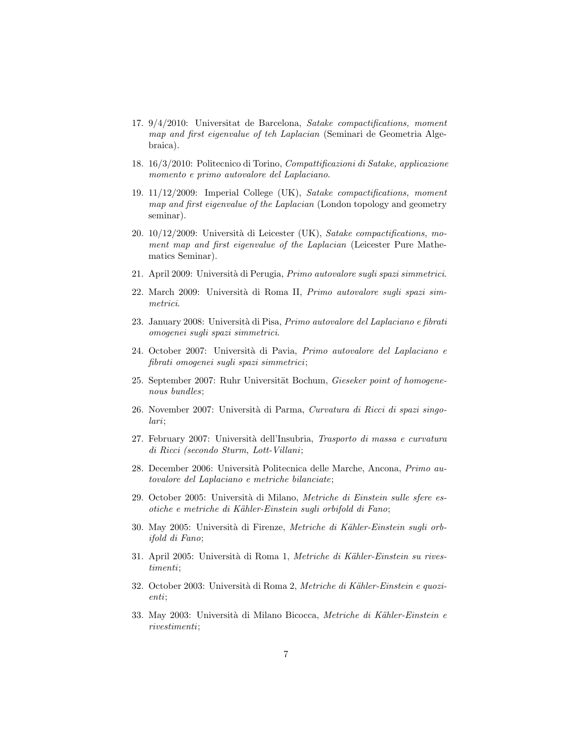- 17. 9/4/2010: Universitat de Barcelona, Satake compactifications, moment map and first eigenvalue of teh Laplacian (Seminari de Geometria Algebraica).
- 18. 16/3/2010: Politecnico di Torino, Compattificazioni di Satake, applicazione momento e primo autovalore del Laplaciano.
- 19. 11/12/2009: Imperial College (UK), Satake compactifications, moment map and first eigenvalue of the Laplacian (London topology and geometry seminar).
- 20. 10/12/2009: Università di Leicester (UK), Satake compactifications, moment map and first eigenvalue of the Laplacian (Leicester Pure Mathematics Seminar).
- 21. April 2009: Universit`a di Perugia, Primo autovalore sugli spazi simmetrici.
- 22. March 2009: Università di Roma II, Primo autovalore sugli spazi simmetrici.
- 23. January 2008: Università di Pisa, Primo autovalore del Laplaciano e fibrati omogenei sugli spazi simmetrici.
- 24. October 2007: Università di Pavia, Primo autovalore del Laplaciano e fibrati omogenei sugli spazi simmetrici;
- 25. September 2007: Ruhr Universität Bochum, Gieseker point of homogenenous bundles;
- 26. November 2007: Università di Parma, Curvatura di Ricci di spazi singolari;
- 27. February 2007: Università dell'Insubria, Trasporto di massa e curvatura di Ricci (secondo Sturm, Lott-Villani;
- 28. December 2006: Università Politecnica delle Marche, Ancona, Primo autovalore del Laplaciano e metriche bilanciate;
- 29. October 2005: Università di Milano, Metriche di Einstein sulle sfere esotiche e metriche di K¨ahler-Einstein sugli orbifold di Fano;
- 30. May 2005: Università di Firenze, Metriche di Kähler-Einstein sugli orbifold di Fano;
- 31. April 2005: Università di Roma 1, Metriche di Kähler-Einstein su rivestimenti;
- 32. October 2003: Università di Roma 2, Metriche di Kähler-Einstein e quozienti;
- 33. May 2003: Università di Milano Bicocca, Metriche di Kähler-Einstein e rivestimenti;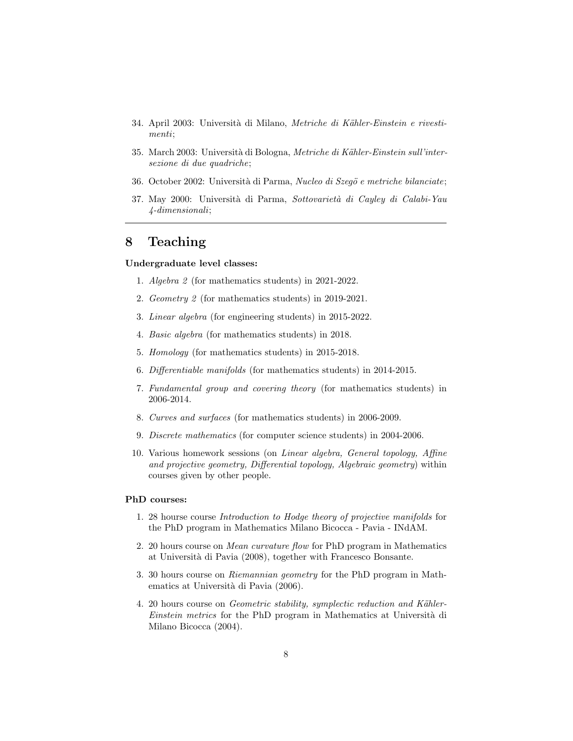- 34. April 2003: Università di Milano, Metriche di Kähler-Einstein e rivestimenti;
- 35. March 2003: Università di Bologna, Metriche di Kähler-Einstein sull'intersezione di due quadriche;
- 36. October 2002: Università di Parma, Nucleo di Szegö e metriche bilanciate;
- 37. May 2000: Università di Parma, Sottovarietà di Cayley di Calabi-Yau 4-dimensionali;

### <span id="page-7-0"></span>8 Teaching

#### Undergraduate level classes:

- 1. Algebra 2 (for mathematics students) in 2021-2022.
- 2. Geometry 2 (for mathematics students) in 2019-2021.
- 3. Linear algebra (for engineering students) in 2015-2022.
- 4. Basic algebra (for mathematics students) in 2018.
- 5. Homology (for mathematics students) in 2015-2018.
- 6. Differentiable manifolds (for mathematics students) in 2014-2015.
- 7. Fundamental group and covering theory (for mathematics students) in 2006-2014.
- 8. Curves and surfaces (for mathematics students) in 2006-2009.
- 9. Discrete mathematics (for computer science students) in 2004-2006.
- 10. Various homework sessions (on Linear algebra, General topology, Affine and projective geometry, Differential topology, Algebraic geometry) within courses given by other people.

#### PhD courses:

- 1. 28 hourse course Introduction to Hodge theory of projective manifolds for the PhD program in Mathematics Milano Bicocca - Pavia - INdAM.
- 2. 20 hours course on Mean curvature flow for PhD program in Mathematics at Universit`a di Pavia (2008), together with Francesco Bonsante.
- 3. 30 hours course on Riemannian geometry for the PhD program in Mathematics at Università di Pavia (2006).
- 4. 20 hours course on *Geometric stability, symplectic reduction and Kähler-*Einstein metrics for the PhD program in Mathematics at Università di Milano Bicocca (2004).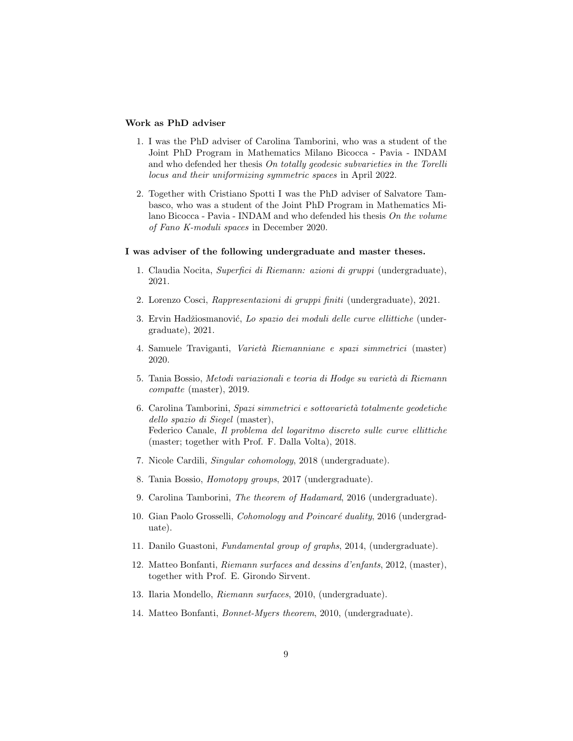#### Work as PhD adviser

- 1. I was the PhD adviser of Carolina Tamborini, who was a student of the Joint PhD Program in Mathematics Milano Bicocca - Pavia - INDAM and who defended her thesis On totally geodesic subvarieties in the Torelli locus and their uniformizing symmetric spaces in April 2022.
- 2. Together with Cristiano Spotti I was the PhD adviser of Salvatore Tambasco, who was a student of the Joint PhD Program in Mathematics Milano Bicocca - Pavia - INDAM and who defended his thesis On the volume of Fano K-moduli spaces in December 2020.

#### I was adviser of the following undergraduate and master theses.

- 1. Claudia Nocita, Superfici di Riemann: azioni di gruppi (undergraduate), 2021.
- 2. Lorenzo Cosci, Rappresentazioni di gruppi finiti (undergraduate), 2021.
- 3. Ervin Hadžiosmanović, Lo spazio dei moduli delle curve ellittiche (undergraduate), 2021.
- 4. Samuele Traviganti, Varietà Riemanniane e spazi simmetrici (master) 2020.
- 5. Tania Bossio, Metodi variazionali e teoria di Hodge su varietà di Riemann compatte (master), 2019.
- 6. Carolina Tamborini, Spazi simmetrici e sottovarietà totalmente geodetiche dello spazio di Siegel (master), Federico Canale, Il problema del logaritmo discreto sulle curve ellittiche (master; together with Prof. F. Dalla Volta), 2018.
- 7. Nicole Cardili, Singular cohomology, 2018 (undergraduate).
- 8. Tania Bossio, Homotopy groups, 2017 (undergraduate).
- 9. Carolina Tamborini, The theorem of Hadamard, 2016 (undergraduate).
- 10. Gian Paolo Grosselli, Cohomology and Poincaré duality, 2016 (undergraduate).
- 11. Danilo Guastoni, Fundamental group of graphs, 2014, (undergraduate).
- 12. Matteo Bonfanti, Riemann surfaces and dessins d'enfants, 2012, (master), together with Prof. E. Girondo Sirvent.
- 13. Ilaria Mondello, Riemann surfaces, 2010, (undergraduate).
- 14. Matteo Bonfanti, Bonnet-Myers theorem, 2010, (undergraduate).